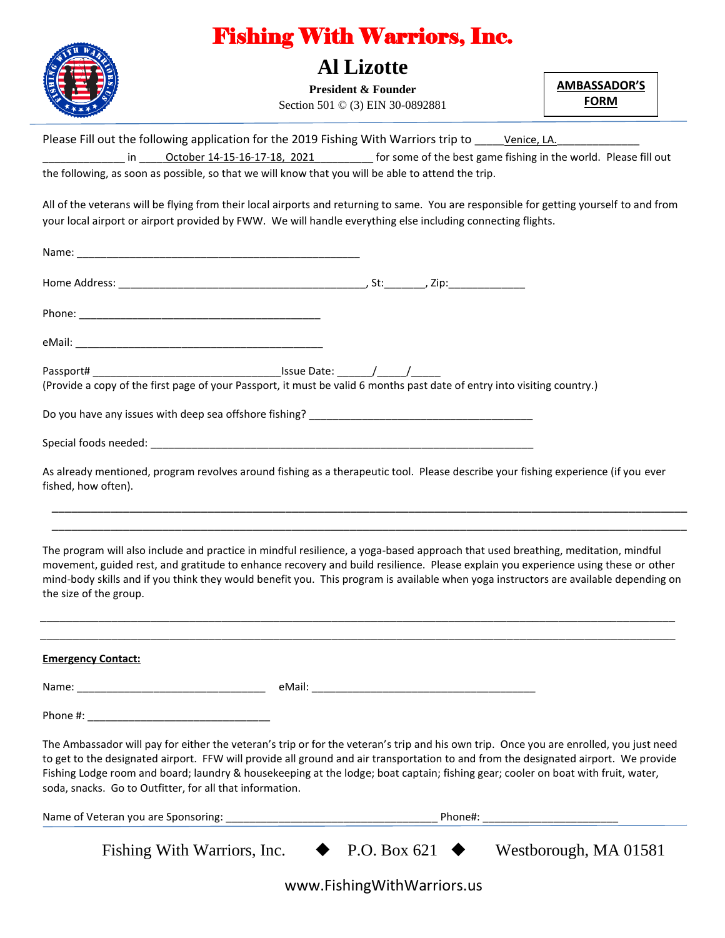|                                                          | <b>Al Lizotte</b>                                                                                                                                                                                                                                                                                                                                                                                                 |                                    |
|----------------------------------------------------------|-------------------------------------------------------------------------------------------------------------------------------------------------------------------------------------------------------------------------------------------------------------------------------------------------------------------------------------------------------------------------------------------------------------------|------------------------------------|
|                                                          | <b>President &amp; Founder</b><br>Section 501 © (3) EIN 30-0892881                                                                                                                                                                                                                                                                                                                                                | <b>AMBASSADOR'S</b><br><b>FORM</b> |
|                                                          |                                                                                                                                                                                                                                                                                                                                                                                                                   |                                    |
|                                                          | Please Fill out the following application for the 2019 Fishing With Warriors trip to _________________________                                                                                                                                                                                                                                                                                                    |                                    |
|                                                          | in October 14-15-16-17-18, 2021 for some of the best game fishing in the world. Please fill out<br>the following, as soon as possible, so that we will know that you will be able to attend the trip.                                                                                                                                                                                                             |                                    |
|                                                          |                                                                                                                                                                                                                                                                                                                                                                                                                   |                                    |
|                                                          | All of the veterans will be flying from their local airports and returning to same. You are responsible for getting yourself to and from<br>your local airport or airport provided by FWW. We will handle everything else including connecting flights.                                                                                                                                                           |                                    |
|                                                          |                                                                                                                                                                                                                                                                                                                                                                                                                   |                                    |
|                                                          |                                                                                                                                                                                                                                                                                                                                                                                                                   |                                    |
|                                                          |                                                                                                                                                                                                                                                                                                                                                                                                                   |                                    |
|                                                          |                                                                                                                                                                                                                                                                                                                                                                                                                   |                                    |
|                                                          |                                                                                                                                                                                                                                                                                                                                                                                                                   |                                    |
|                                                          |                                                                                                                                                                                                                                                                                                                                                                                                                   |                                    |
|                                                          |                                                                                                                                                                                                                                                                                                                                                                                                                   |                                    |
|                                                          |                                                                                                                                                                                                                                                                                                                                                                                                                   |                                    |
|                                                          |                                                                                                                                                                                                                                                                                                                                                                                                                   |                                    |
| fished, how often).                                      | As already mentioned, program revolves around fishing as a therapeutic tool. Please describe your fishing experience (if you ever                                                                                                                                                                                                                                                                                 |                                    |
|                                                          |                                                                                                                                                                                                                                                                                                                                                                                                                   |                                    |
|                                                          |                                                                                                                                                                                                                                                                                                                                                                                                                   |                                    |
| the size of the group.                                   | The program will also include and practice in mindful resilience, a yoga-based approach that used breathing, meditation, mindful<br>movement, guided rest, and gratitude to enhance recovery and build resilience. Please explain you experience using these or other<br>mind-body skills and if you think they would benefit you. This program is available when yoga instructors are available depending on     |                                    |
|                                                          |                                                                                                                                                                                                                                                                                                                                                                                                                   |                                    |
|                                                          |                                                                                                                                                                                                                                                                                                                                                                                                                   |                                    |
| <b>Emergency Contact:</b>                                |                                                                                                                                                                                                                                                                                                                                                                                                                   |                                    |
|                                                          |                                                                                                                                                                                                                                                                                                                                                                                                                   |                                    |
|                                                          |                                                                                                                                                                                                                                                                                                                                                                                                                   |                                    |
| soda, snacks. Go to Outfitter, for all that information. | The Ambassador will pay for either the veteran's trip or for the veteran's trip and his own trip. Once you are enrolled, you just need<br>to get to the designated airport. FFW will provide all ground and air transportation to and from the designated airport. We provide<br>Fishing Lodge room and board; laundry & housekeeping at the lodge; boat captain; fishing gear; cooler on boat with fruit, water, |                                    |
|                                                          |                                                                                                                                                                                                                                                                                                                                                                                                                   |                                    |

www.FishingWithWarriors.us